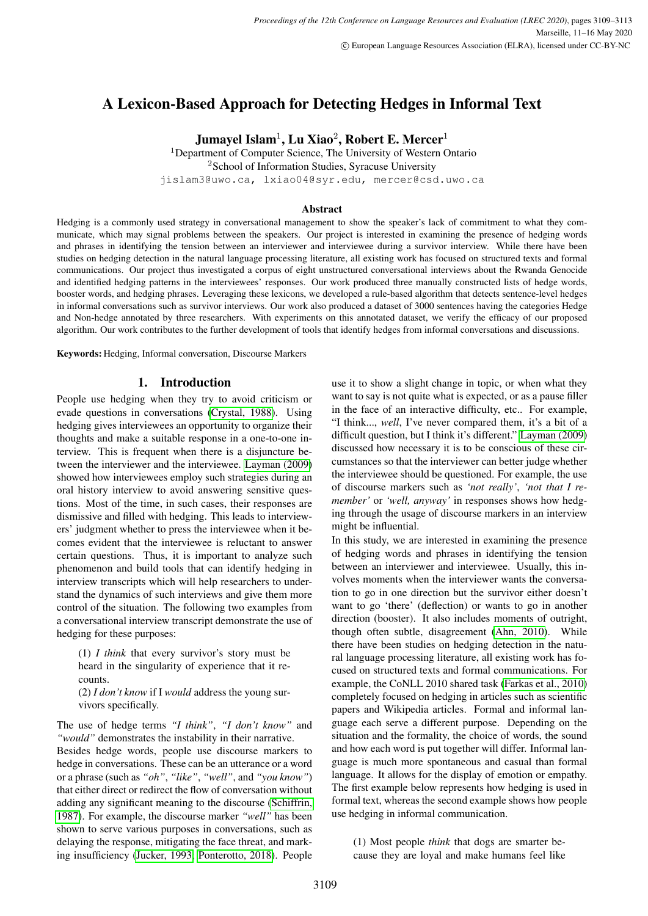# A Lexicon-Based Approach for Detecting Hedges in Informal Text

Jumayel Islam $^1$ , Lu Xiao $^2$ , Robert E. Mercer $^1$ 

<sup>1</sup>Department of Computer Science, The University of Western Ontario <sup>2</sup>School of Information Studies, Syracuse University jislam3@uwo.ca, lxiao04@syr.edu, mercer@csd.uwo.ca

## Abstract

Hedging is a commonly used strategy in conversational management to show the speaker's lack of commitment to what they communicate, which may signal problems between the speakers. Our project is interested in examining the presence of hedging words and phrases in identifying the tension between an interviewer and interviewee during a survivor interview. While there have been studies on hedging detection in the natural language processing literature, all existing work has focused on structured texts and formal communications. Our project thus investigated a corpus of eight unstructured conversational interviews about the Rwanda Genocide and identified hedging patterns in the interviewees' responses. Our work produced three manually constructed lists of hedge words, booster words, and hedging phrases. Leveraging these lexicons, we developed a rule-based algorithm that detects sentence-level hedges in informal conversations such as survivor interviews. Our work also produced a dataset of 3000 sentences having the categories Hedge and Non-hedge annotated by three researchers. With experiments on this annotated dataset, we verify the efficacy of our proposed algorithm. Our work contributes to the further development of tools that identify hedges from informal conversations and discussions.

Keywords: Hedging, Informal conversation, Discourse Markers

# 1. Introduction

People use hedging when they try to avoid criticism or evade questions in conversations [\(Crystal, 1988\)](#page-4-0). Using hedging gives interviewees an opportunity to organize their thoughts and make a suitable response in a one-to-one interview. This is frequent when there is a disjuncture between the interviewer and the interviewee. [Layman \(2009\)](#page-4-1) showed how interviewees employ such strategies during an oral history interview to avoid answering sensitive questions. Most of the time, in such cases, their responses are dismissive and filled with hedging. This leads to interviewers' judgment whether to press the interviewee when it becomes evident that the interviewee is reluctant to answer certain questions. Thus, it is important to analyze such phenomenon and build tools that can identify hedging in interview transcripts which will help researchers to understand the dynamics of such interviews and give them more control of the situation. The following two examples from a conversational interview transcript demonstrate the use of hedging for these purposes:

(1) *I think* that every survivor's story must be heard in the singularity of experience that it recounts.

(2) *I don't know* if I *would* address the young survivors specifically.

The use of hedge terms *"I think"*, *"I don't know"* and *"would"* demonstrates the instability in their narrative. Besides hedge words, people use discourse markers to hedge in conversations. These can be an utterance or a word or a phrase (such as *"oh"*, *"like"*, *"well"*, and *"you know"*) that either direct or redirect the flow of conversation without adding any significant meaning to the discourse [\(Schiffrin,](#page-4-2) [1987\)](#page-4-2). For example, the discourse marker *"well"* has been shown to serve various purposes in conversations, such as delaying the response, mitigating the face threat, and marking insufficiency [\(Jucker, 1993;](#page-4-3) [Ponterotto, 2018\)](#page-4-4). People use it to show a slight change in topic, or when what they want to say is not quite what is expected, or as a pause filler in the face of an interactive difficulty, etc.. For example, "I think..., *well*, I've never compared them, it's a bit of a difficult question, but I think it's different." [Layman \(2009\)](#page-4-1) discussed how necessary it is to be conscious of these circumstances so that the interviewer can better judge whether the interviewee should be questioned. For example, the use of discourse markers such as *'not really'*, *'not that I remember'* or *'well, anyway'* in responses shows how hedging through the usage of discourse markers in an interview might be influential.

In this study, we are interested in examining the presence of hedging words and phrases in identifying the tension between an interviewer and interviewee. Usually, this involves moments when the interviewer wants the conversation to go in one direction but the survivor either doesn't want to go 'there' (deflection) or wants to go in another direction (booster). It also includes moments of outright, though often subtle, disagreement [\(Ahn, 2010\)](#page-4-5). While there have been studies on hedging detection in the natural language processing literature, all existing work has focused on structured texts and formal communications. For example, the CoNLL 2010 shared task [\(Farkas et al., 2010\)](#page-4-6) completely focused on hedging in articles such as scientific papers and Wikipedia articles. Formal and informal language each serve a different purpose. Depending on the situation and the formality, the choice of words, the sound and how each word is put together will differ. Informal language is much more spontaneous and casual than formal language. It allows for the display of emotion or empathy. The first example below represents how hedging is used in formal text, whereas the second example shows how people use hedging in informal communication.

(1) Most people *think* that dogs are smarter because they are loyal and make humans feel like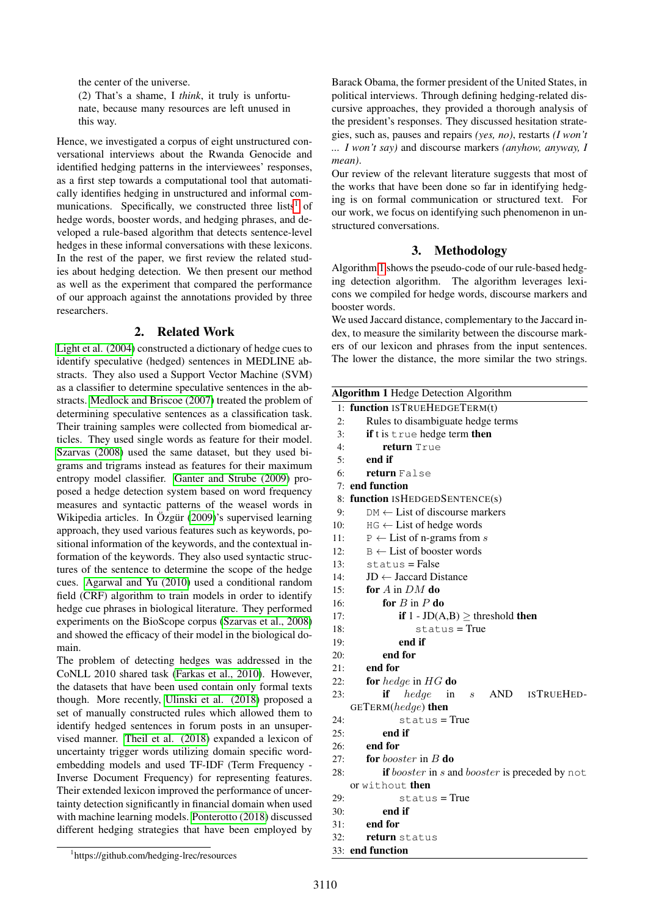the center of the universe. (2) That's a shame, I *think*, it truly is unfortunate, because many resources are left unused in this way.

Hence, we investigated a corpus of eight unstructured conversational interviews about the Rwanda Genocide and identified hedging patterns in the interviewees' responses, as a first step towards a computational tool that automatically identifies hedging in unstructured and informal com-munications. Specifically, we constructed three lists<sup>[1](#page-1-0)</sup> of hedge words, booster words, and hedging phrases, and developed a rule-based algorithm that detects sentence-level hedges in these informal conversations with these lexicons. In the rest of the paper, we first review the related studies about hedging detection. We then present our method as well as the experiment that compared the performance of our approach against the annotations provided by three researchers.

# 2. Related Work

[Light et al. \(2004\)](#page-4-7) constructed a dictionary of hedge cues to identify speculative (hedged) sentences in MEDLINE abstracts. They also used a Support Vector Machine (SVM) as a classifier to determine speculative sentences in the abstracts. [Medlock and Briscoe \(2007\)](#page-4-8) treated the problem of determining speculative sentences as a classification task. Their training samples were collected from biomedical articles. They used single words as feature for their model. [Szarvas \(2008\)](#page-4-9) used the same dataset, but they used bigrams and trigrams instead as features for their maximum entropy model classifier. [Ganter and Strube \(2009\)](#page-4-10) proposed a hedge detection system based on word frequency measures and syntactic patterns of the weasel words in Wikipedia articles. In Özgür [\(2009\)](#page-4-11)'s supervised learning approach, they used various features such as keywords, positional information of the keywords, and the contextual information of the keywords. They also used syntactic structures of the sentence to determine the scope of the hedge cues. [Agarwal and Yu \(2010\)](#page-4-12) used a conditional random field (CRF) algorithm to train models in order to identify hedge cue phrases in biological literature. They performed experiments on the BioScope corpus [\(Szarvas et al., 2008\)](#page-4-13) and showed the efficacy of their model in the biological domain.

The problem of detecting hedges was addressed in the CoNLL 2010 shared task [\(Farkas et al., 2010\)](#page-4-6). However, the datasets that have been used contain only formal texts though. More recently, [Ulinski et al. \(2018\)](#page-4-14) proposed a set of manually constructed rules which allowed them to identify hedged sentences in forum posts in an unsupervised manner. [Theil et al. \(2018\)](#page-4-15) expanded a lexicon of uncertainty trigger words utilizing domain specific wordembedding models and used TF-IDF (Term Frequency - Inverse Document Frequency) for representing features. Their extended lexicon improved the performance of uncertainty detection significantly in financial domain when used with machine learning models. [Ponterotto \(2018\)](#page-4-4) discussed different hedging strategies that have been employed by Barack Obama, the former president of the United States, in political interviews. Through defining hedging-related discursive approaches, they provided a thorough analysis of the president's responses. They discussed hesitation strategies, such as, pauses and repairs *(yes, no)*, restarts *(I won't ... I won't say)* and discourse markers *(anyhow, anyway, I mean)*.

Our review of the relevant literature suggests that most of the works that have been done so far in identifying hedging is on formal communication or structured text. For our work, we focus on identifying such phenomenon in unstructured conversations.

# 3. Methodology

Algorithm [1](#page-1-1) shows the pseudo-code of our rule-based hedging detection algorithm. The algorithm leverages lexicons we compiled for hedge words, discourse markers and booster words.

We used Jaccard distance, complementary to the Jaccard index, to measure the similarity between the discourse markers of our lexicon and phrases from the input sentences. The lower the distance, the more similar the two strings.

<span id="page-1-1"></span>

|     | <b>Algorithm 1 Hedge Detection Algorithm</b>          |
|-----|-------------------------------------------------------|
|     | 1: function ISTRUEHEDGETERM(t)                        |
| 2:  | Rules to disambiguate hedge terms                     |
| 3:  | if t is true hedge term then                          |
| 4:  | return True                                           |
| 5:  | end if                                                |
| 6:  | return False                                          |
|     | $7:$ end function                                     |
|     | 8: function ISHEDGEDSENTENCE(s)                       |
| 9:  | $DM \leftarrow$ List of discourse markers             |
| 10: | $HG \leftarrow List$ of hedge words                   |
| 11: | $P \leftarrow$ List of n-grams from s                 |
| 12: | $B \leftarrow$ List of booster words                  |
| 13: | $status = False$                                      |
| 14: | $JD \leftarrow$ Jaccard Distance                      |
| 15: | for $A$ in $DM$ do                                    |
| 16: | for $B$ in $P$ do                                     |
| 17: | <b>if</b> $1$ - JD(A,B) $\geq$ threshold <b>then</b>  |
| 18: | status = True                                         |
| 19: | end if                                                |
| 20: | end for                                               |
| 21: | end for                                               |
| 22: | for hedge in $HG$ do                                  |
| 23: | s AND ISTRUEHED-<br>if<br>hedge<br>in                 |
|     | <b>GETERM</b> ( $hedge$ ) then                        |
| 24: | $status = True$                                       |
| 25: | end if                                                |
| 26: | end for                                               |
| 27: | for <i>booster</i> in $B$ do                          |
| 28: | <b>if</b> booster in s and booster is preceded by not |
|     | or without then                                       |
| 29: | $status = True$                                       |
| 30: | end if                                                |
| 31: | end for                                               |
| 32: | <b>return</b> status                                  |
|     | 33: end function                                      |

<span id="page-1-0"></span><sup>1</sup> https://github.com/hedging-lrec/resources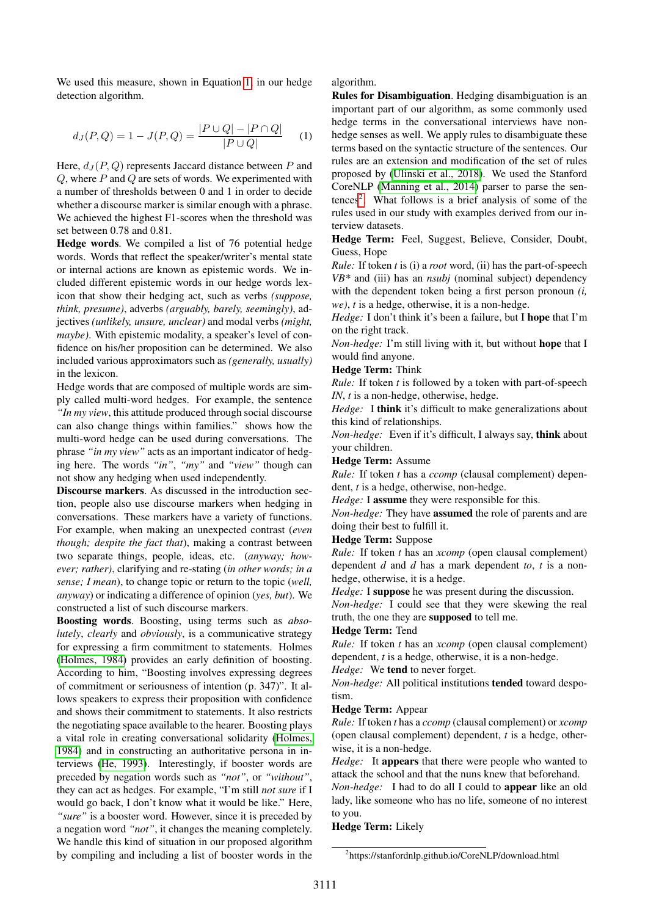We used this measure, shown in Equation [1,](#page-2-0) in our hedge detection algorithm.

<span id="page-2-0"></span>
$$
d_J(P,Q) = 1 - J(P,Q) = \frac{|P \cup Q| - |P \cap Q|}{|P \cup Q|} \tag{1}
$$

Here,  $d_J(P,Q)$  represents Jaccard distance between P and  $Q$ , where  $P$  and  $Q$  are sets of words. We experimented with a number of thresholds between 0 and 1 in order to decide whether a discourse marker is similar enough with a phrase. We achieved the highest F1-scores when the threshold was set between 0.78 and 0.81.

Hedge words. We compiled a list of 76 potential hedge words. Words that reflect the speaker/writer's mental state or internal actions are known as epistemic words. We included different epistemic words in our hedge words lexicon that show their hedging act, such as verbs *(suppose, think, presume)*, adverbs *(arguably, barely, seemingly)*, adjectives *(unlikely, unsure, unclear)* and modal verbs *(might, maybe)*. With epistemic modality, a speaker's level of confidence on his/her proposition can be determined. We also included various approximators such as *(generally, usually)* in the lexicon.

Hedge words that are composed of multiple words are simply called multi-word hedges. For example, the sentence *"In my view*, this attitude produced through social discourse can also change things within families." shows how the multi-word hedge can be used during conversations. The phrase *"in my view"* acts as an important indicator of hedging here. The words *"in"*, *"my"* and *"view"* though can not show any hedging when used independently.

Discourse markers. As discussed in the introduction section, people also use discourse markers when hedging in conversations. These markers have a variety of functions. For example, when making an unexpected contrast (*even though; despite the fact that*), making a contrast between two separate things, people, ideas, etc. (*anyway; however; rather)*, clarifying and re-stating (*in other words; in a sense; I mean*), to change topic or return to the topic (*well, anyway*) or indicating a difference of opinion (*yes, but*). We constructed a list of such discourse markers.

Boosting words. Boosting, using terms such as *absolutely*, *clearly* and *obviously*, is a communicative strategy for expressing a firm commitment to statements. Holmes [\(Holmes, 1984\)](#page-4-16) provides an early definition of boosting. According to him, "Boosting involves expressing degrees of commitment or seriousness of intention (p. 347)". It allows speakers to express their proposition with confidence and shows their commitment to statements. It also restricts the negotiating space available to the hearer. Boosting plays a vital role in creating conversational solidarity [\(Holmes,](#page-4-16) [1984\)](#page-4-16) and in constructing an authoritative persona in interviews [\(He, 1993\)](#page-4-17). Interestingly, if booster words are preceded by negation words such as *"not"*, or *"without"*, they can act as hedges. For example, "I'm still *not sure* if I would go back, I don't know what it would be like." Here, *"sure"* is a booster word. However, since it is preceded by a negation word *"not"*, it changes the meaning completely. We handle this kind of situation in our proposed algorithm by compiling and including a list of booster words in the algorithm.

Rules for Disambiguation. Hedging disambiguation is an important part of our algorithm, as some commonly used hedge terms in the conversational interviews have nonhedge senses as well. We apply rules to disambiguate these terms based on the syntactic structure of the sentences. Our rules are an extension and modification of the set of rules proposed by [\(Ulinski et al., 2018\)](#page-4-14). We used the Stanford CoreNLP [\(Manning et al., 2014\)](#page-4-18) parser to parse the sen-tences<sup>[2](#page-2-1)</sup>. What follows is a brief analysis of some of the rules used in our study with examples derived from our interview datasets.

Hedge Term: Feel, Suggest, Believe, Consider, Doubt, Guess, Hope

*Rule:* If token *t* is (i) a *root* word, (ii) has the part-of-speech *VB\** and (iii) has an *nsubj* (nominal subject) dependency with the dependent token being a first person pronoun *(i, we)*, *t* is a hedge, otherwise, it is a non-hedge.

*Hedge:* I don't think it's been a failure, but I hope that I'm on the right track.

*Non-hedge:* I'm still living with it, but without hope that I would find anyone.

#### Hedge Term: Think

*Rule:* If token *t* is followed by a token with part-of-speech *IN*, *t* is a non-hedge, otherwise, hedge.

*Hedge:* I think it's difficult to make generalizations about this kind of relationships.

*Non-hedge:* Even if it's difficult, I always say, think about your children.

#### Hedge Term: Assume

*Rule:* If token *t* has a *ccomp* (clausal complement) dependent, *t* is a hedge, otherwise, non-hedge.

*Hedge:* I **assume** they were responsible for this.

*Non-hedge:* They have assumed the role of parents and are doing their best to fulfill it.

#### Hedge Term: Suppose

*Rule:* If token *t* has an *xcomp* (open clausal complement) dependent *d* and *d* has a mark dependent *to*, *t* is a nonhedge, otherwise, it is a hedge.

*Hedge:* I suppose he was present during the discussion. *Non-hedge:* I could see that they were skewing the real truth, the one they are supposed to tell me.

#### Hedge Term: Tend

*Rule:* If token *t* has an *xcomp* (open clausal complement) dependent, *t* is a hedge, otherwise, it is a non-hedge.

*Hedge:* We tend to never forget.

*Non-hedge:* All political institutions tended toward despotism.

#### Hedge Term: Appear

*Rule:* If token *t* has a *ccomp* (clausal complement) or *xcomp* (open clausal complement) dependent, *t* is a hedge, otherwise, it is a non-hedge.

*Hedge:* It appears that there were people who wanted to attack the school and that the nuns knew that beforehand.

*Non-hedge:* I had to do all I could to appear like an old lady, like someone who has no life, someone of no interest to you.

#### Hedge Term: Likely

<span id="page-2-1"></span><sup>2</sup> https://stanfordnlp.github.io/CoreNLP/download.html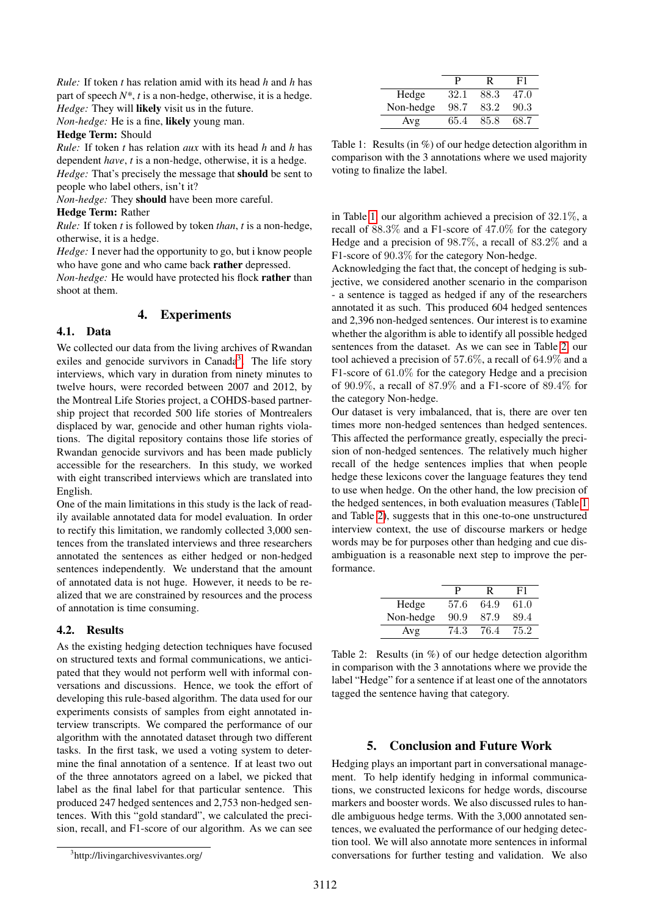*Rule:* If token *t* has relation amid with its head *h* and *h* has part of speech *N\**, *t* is a non-hedge, otherwise, it is a hedge. *Hedge:* They will likely visit us in the future.

*Non-hedge:* He is a fine, likely young man.

#### Hedge Term: Should

*Rule:* If token *t* has relation *aux* with its head *h* and *h* has dependent *have*, *t* is a non-hedge, otherwise, it is a hedge. *Hedge:* That's precisely the message that should be sent to people who label others, isn't it?

*Non-hedge:* They should have been more careful.

# Hedge Term: Rather

*Rule:* If token *t* is followed by token *than*, *t* is a non-hedge, otherwise, it is a hedge.

*Hedge:* I never had the opportunity to go, but i know people who have gone and who came back rather depressed.

*Non-hedge:* He would have protected his flock rather than shoot at them.

# 4. Experiments

# 4.1. Data

We collected our data from the living archives of Rwandan exiles and genocide survivors in Canada<sup>[3](#page-3-0)</sup>. The life story interviews, which vary in duration from ninety minutes to twelve hours, were recorded between 2007 and 2012, by the Montreal Life Stories project, a COHDS-based partnership project that recorded 500 life stories of Montrealers displaced by war, genocide and other human rights violations. The digital repository contains those life stories of Rwandan genocide survivors and has been made publicly accessible for the researchers. In this study, we worked with eight transcribed interviews which are translated into English.

One of the main limitations in this study is the lack of readily available annotated data for model evaluation. In order to rectify this limitation, we randomly collected 3,000 sentences from the translated interviews and three researchers annotated the sentences as either hedged or non-hedged sentences independently. We understand that the amount of annotated data is not huge. However, it needs to be realized that we are constrained by resources and the process of annotation is time consuming.

# 4.2. Results

As the existing hedging detection techniques have focused on structured texts and formal communications, we anticipated that they would not perform well with informal conversations and discussions. Hence, we took the effort of developing this rule-based algorithm. The data used for our experiments consists of samples from eight annotated interview transcripts. We compared the performance of our algorithm with the annotated dataset through two different tasks. In the first task, we used a voting system to determine the final annotation of a sentence. If at least two out of the three annotators agreed on a label, we picked that label as the final label for that particular sentence. This produced 247 hedged sentences and 2,753 non-hedged sentences. With this "gold standard", we calculated the precision, recall, and F1-score of our algorithm. As we can see

|           | P    | R    | F1   |
|-----------|------|------|------|
| Hedge     | 32.1 | 88.3 | 47.0 |
| Non-hedge | 98.7 | 83.2 | 90.3 |
| Avg       | 65.4 | 85.8 | 68.7 |

<span id="page-3-1"></span>Table 1: Results (in %) of our hedge detection algorithm in comparison with the 3 annotations where we used majority voting to finalize the label.

in Table [1,](#page-3-1) our algorithm achieved a precision of 32.1%, a recall of 88.3% and a F1-score of 47.0% for the category Hedge and a precision of 98.7%, a recall of 83.2% and a F1-score of 90.3% for the category Non-hedge.

Acknowledging the fact that, the concept of hedging is subjective, we considered another scenario in the comparison - a sentence is tagged as hedged if any of the researchers annotated it as such. This produced 604 hedged sentences and 2,396 non-hedged sentences. Our interest is to examine whether the algorithm is able to identify all possible hedged sentences from the dataset. As we can see in Table [2,](#page-3-2) our tool achieved a precision of 57.6%, a recall of 64.9% and a F1-score of 61.0% for the category Hedge and a precision of 90.9%, a recall of 87.9% and a F1-score of 89.4% for the category Non-hedge.

Our dataset is very imbalanced, that is, there are over ten times more non-hedged sentences than hedged sentences. This affected the performance greatly, especially the precision of non-hedged sentences. The relatively much higher recall of the hedge sentences implies that when people hedge these lexicons cover the language features they tend to use when hedge. On the other hand, the low precision of the hedged sentences, in both evaluation measures (Table [1](#page-3-1) and Table [2\)](#page-3-2), suggests that in this one-to-one unstructured interview context, the use of discourse markers or hedge words may be for purposes other than hedging and cue disambiguation is a reasonable next step to improve the performance.

|           | P    | R    | F1   |
|-----------|------|------|------|
| Hedge     | 57.6 | 64.9 | 61.0 |
| Non-hedge | 90.9 | 87.9 | 89.4 |
| Avg       | 74.3 | 76.4 | 75.2 |

<span id="page-3-2"></span>Table 2: Results (in %) of our hedge detection algorithm in comparison with the 3 annotations where we provide the label "Hedge" for a sentence if at least one of the annotators tagged the sentence having that category.

# 5. Conclusion and Future Work

Hedging plays an important part in conversational management. To help identify hedging in informal communications, we constructed lexicons for hedge words, discourse markers and booster words. We also discussed rules to handle ambiguous hedge terms. With the 3,000 annotated sentences, we evaluated the performance of our hedging detection tool. We will also annotate more sentences in informal conversations for further testing and validation. We also

<span id="page-3-0"></span><sup>3</sup> http://livingarchivesvivantes.org/